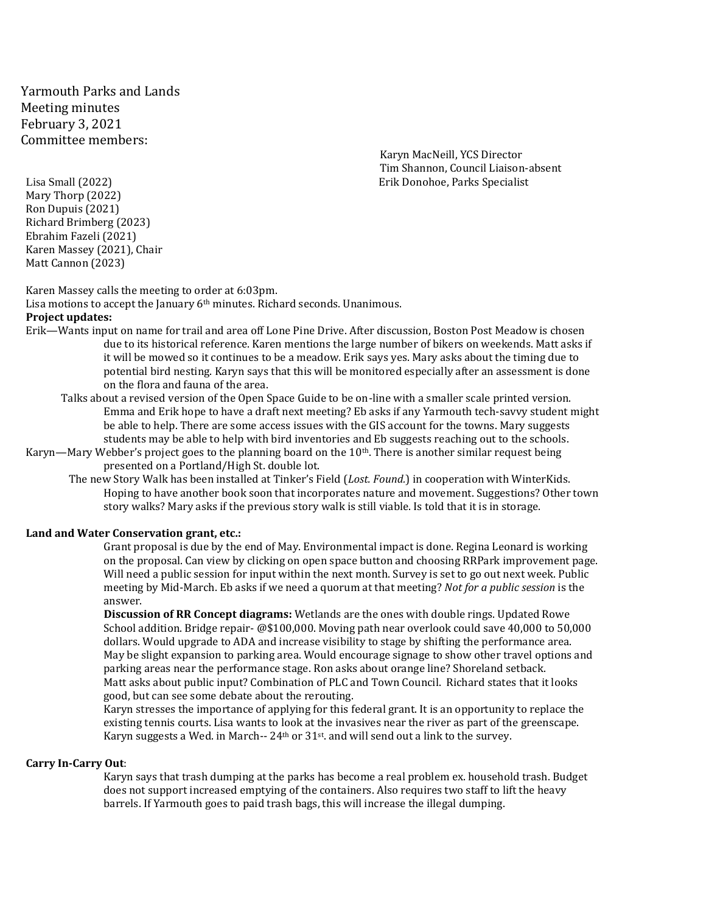Yarmouth Parks and Lands Meeting minutes February 3, 2021 Committee members:

Karyn MacNeill, YCS Director Tim Shannon, Council Liaison-absent Lisa Small (2022) Erik Donohoe, Parks Specialist

Mary Thorp (2022) Ron Dupuis (2021) Richard Brimberg (2023) Ebrahim Fazeli (2021) Karen Massey (2021), Chair Matt Cannon (2023)

Karen Massey calls the meeting to order at 6:03pm.

Lisa motions to accept the January 6<sup>th</sup> minutes. Richard seconds. Unanimous.

## **Project updates:**

- Erik—Wants input on name for trail and area off Lone Pine Drive. After discussion, Boston Post Meadow is chosen due to its historical reference. Karen mentions the large number of bikers on weekends. Matt asks if it will be mowed so it continues to be a meadow. Erik says yes. Mary asks about the timing due to potential bird nesting. Karyn says that this will be monitored especially after an assessment is done on the flora and fauna of the area.
	- Talks about a revised version of the Open Space Guide to be on-line with a smaller scale printed version. Emma and Erik hope to have a draft next meeting? Eb asks if any Yarmouth tech-savvy student might be able to help. There are some access issues with the GIS account for the towns. Mary suggests students may be able to help with bird inventories and Eb suggests reaching out to the schools.
- Karyn—Mary Webber's project goes to the planning board on the 10th. There is another similar request being presented on a Portland/High St. double lot.
	- The new Story Walk has been installed at Tinker's Field (*Lost. Found.*) in cooperation with WinterKids. Hoping to have another book soon that incorporates nature and movement. Suggestions? Other town story walks? Mary asks if the previous story walk is still viable. Is told that it is in storage.

## **Land and Water Conservation grant, etc.:**

Grant proposal is due by the end of May. Environmental impact is done. Regina Leonard is working on the proposal. Can view by clicking on open space button and choosing RRPark improvement page. Will need a public session for input within the next month. Survey is set to go out next week. Public meeting by Mid-March. Eb asks if we need a quorum at that meeting? *Not for a public session* is the answer.

**Discussion of RR Concept diagrams:** Wetlands are the ones with double rings. Updated Rowe School addition. Bridge repair- @\$100,000. Moving path near overlook could save 40,000 to 50,000 dollars. Would upgrade to ADA and increase visibility to stage by shifting the performance area. May be slight expansion to parking area. Would encourage signage to show other travel options and parking areas near the performance stage. Ron asks about orange line? Shoreland setback. Matt asks about public input? Combination of PLC and Town Council. Richard states that it looks good, but can see some debate about the rerouting.

Karyn stresses the importance of applying for this federal grant. It is an opportunity to replace the existing tennis courts. Lisa wants to look at the invasives near the river as part of the greenscape. Karyn suggests a Wed. in March-- 24<sup>th</sup> or 31<sup>st</sup>. and will send out a link to the survey.

## **Carry In-Carry Out**:

Karyn says that trash dumping at the parks has become a real problem ex. household trash. Budget does not support increased emptying of the containers. Also requires two staff to lift the heavy barrels. If Yarmouth goes to paid trash bags, this will increase the illegal dumping.